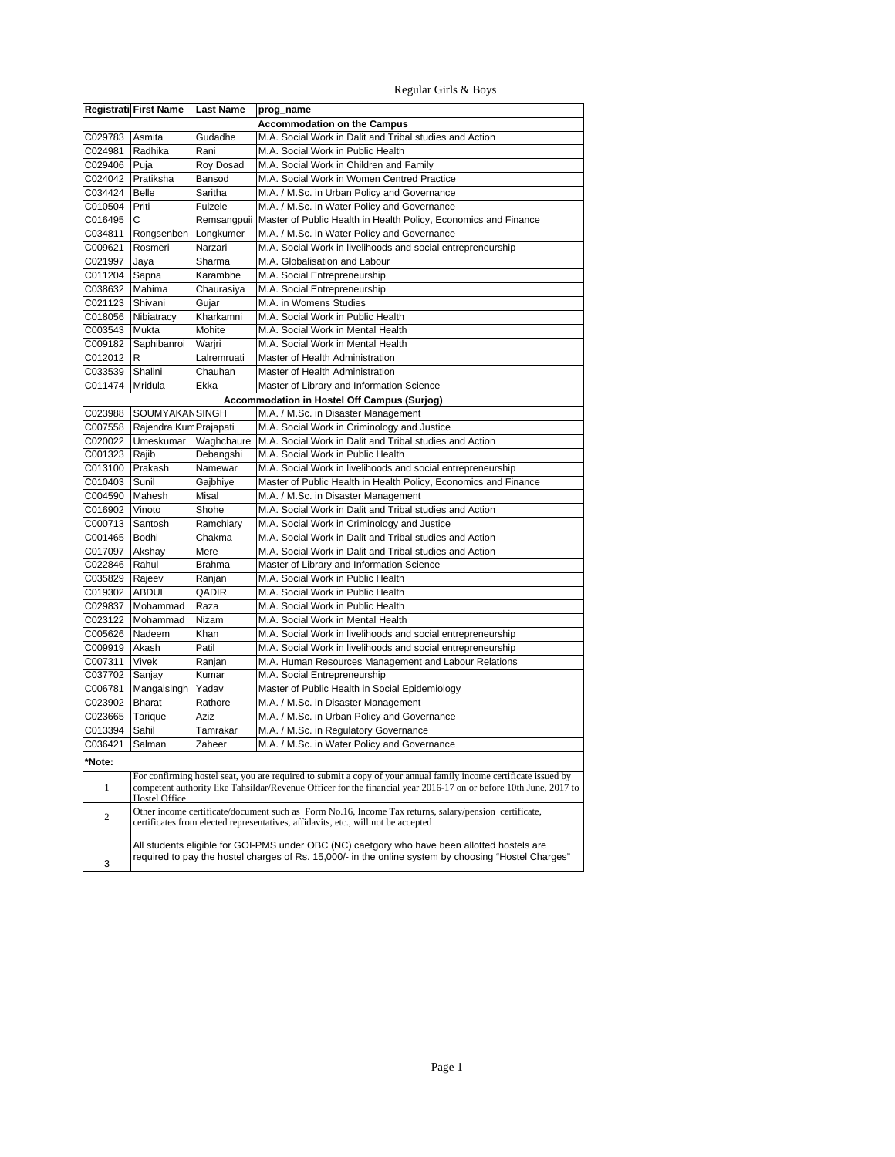## Regular Girls & Boys

|                | Registrati First Name                                                                                                                                                                                                                 | <b>Last Name</b> | prog_name                                                                                             |  |
|----------------|---------------------------------------------------------------------------------------------------------------------------------------------------------------------------------------------------------------------------------------|------------------|-------------------------------------------------------------------------------------------------------|--|
|                |                                                                                                                                                                                                                                       |                  | <b>Accommodation on the Campus</b>                                                                    |  |
| C029783        | Asmita                                                                                                                                                                                                                                | Gudadhe          | M.A. Social Work in Dalit and Tribal studies and Action                                               |  |
| C024981        | Radhika                                                                                                                                                                                                                               | Rani             | M.A. Social Work in Public Health                                                                     |  |
| C029406        | Puja                                                                                                                                                                                                                                  | Roy Dosad        | M.A. Social Work in Children and Family                                                               |  |
| C024042        | Pratiksha                                                                                                                                                                                                                             | Bansod           | M.A. Social Work in Women Centred Practice                                                            |  |
| C034424        | Belle                                                                                                                                                                                                                                 | Saritha          | M.A. / M.Sc. in Urban Policy and Governance                                                           |  |
| C010504        | Priti                                                                                                                                                                                                                                 | Fulzele          | M.A. / M.Sc. in Water Policy and Governance                                                           |  |
| C016495        | С                                                                                                                                                                                                                                     | Remsangpuii      | Master of Public Health in Health Policy, Economics and Finance                                       |  |
| C034811        | Rongsenben                                                                                                                                                                                                                            | Longkumer        | M.A. / M.Sc. in Water Policy and Governance                                                           |  |
| C009621        | Rosmeri                                                                                                                                                                                                                               | Narzari          | M.A. Social Work in livelihoods and social entrepreneurship                                           |  |
| C021997        | Jaya                                                                                                                                                                                                                                  | Sharma           | M.A. Globalisation and Labour                                                                         |  |
| C011204        | Sapna                                                                                                                                                                                                                                 | Karambhe         | M.A. Social Entrepreneurship                                                                          |  |
| C038632        | Mahima                                                                                                                                                                                                                                | Chaurasiya       | M.A. Social Entrepreneurship                                                                          |  |
| C021123        | Shivani                                                                                                                                                                                                                               | Gujar            | M.A. in Womens Studies                                                                                |  |
| C018056        | Nibiatracy                                                                                                                                                                                                                            | Kharkamni        | M.A. Social Work in Public Health                                                                     |  |
| C003543        | Mukta                                                                                                                                                                                                                                 | Mohite           | M.A. Social Work in Mental Health                                                                     |  |
| C009182        | Saphibanroi                                                                                                                                                                                                                           | Warjri           | M.A. Social Work in Mental Health                                                                     |  |
| C012012        | IR.                                                                                                                                                                                                                                   | Lalremruati      | Master of Health Administration                                                                       |  |
| C033539        | Shalini                                                                                                                                                                                                                               | Chauhan          | Master of Health Administration                                                                       |  |
| C011474        | Mridula                                                                                                                                                                                                                               | Ekka             | Master of Library and Information Science                                                             |  |
|                |                                                                                                                                                                                                                                       |                  | Accommodation in Hostel Off Campus (Surjog)                                                           |  |
| C023988        | <b>SOUMYAKAN SINGH</b>                                                                                                                                                                                                                |                  | M.A. / M.Sc. in Disaster Management                                                                   |  |
| C007558        | Rajendra Kun Prajapati                                                                                                                                                                                                                |                  | M.A. Social Work in Criminology and Justice                                                           |  |
| C020022        | Umeskumar                                                                                                                                                                                                                             | Waghchaure       | M.A. Social Work in Dalit and Tribal studies and Action                                               |  |
| C001323 Rajib  |                                                                                                                                                                                                                                       | Debangshi        | M.A. Social Work in Public Health                                                                     |  |
| C013100        | Prakash                                                                                                                                                                                                                               | Namewar          | M.A. Social Work in livelihoods and social entrepreneurship                                           |  |
| C010403        | Sunil                                                                                                                                                                                                                                 | Gajbhiye         | Master of Public Health in Health Policy, Economics and Finance                                       |  |
| C004590        | Mahesh                                                                                                                                                                                                                                | Misal            | M.A. / M.Sc. in Disaster Management                                                                   |  |
| C016902        | Vinoto                                                                                                                                                                                                                                | Shohe            | M.A. Social Work in Dalit and Tribal studies and Action                                               |  |
| C000713        | Santosh                                                                                                                                                                                                                               | Ramchiary        | M.A. Social Work in Criminology and Justice                                                           |  |
| C001465        | Bodhi                                                                                                                                                                                                                                 | Chakma           | M.A. Social Work in Dalit and Tribal studies and Action                                               |  |
| C017097        | Akshay                                                                                                                                                                                                                                | Mere             | M.A. Social Work in Dalit and Tribal studies and Action                                               |  |
| C022846        | Rahul                                                                                                                                                                                                                                 | Brahma           | Master of Library and Information Science                                                             |  |
| C035829        | Rajeev                                                                                                                                                                                                                                | Ranjan           | M.A. Social Work in Public Health                                                                     |  |
| C019302        | <b>ABDUL</b>                                                                                                                                                                                                                          | QADIR            | M.A. Social Work in Public Health                                                                     |  |
| C029837        | Mohammad                                                                                                                                                                                                                              | Raza             | M.A. Social Work in Public Health                                                                     |  |
| C023122        | Mohammad                                                                                                                                                                                                                              | Nizam            | M.A. Social Work in Mental Health                                                                     |  |
| C005626        | Nadeem                                                                                                                                                                                                                                | Khan             | M.A. Social Work in livelihoods and social entrepreneurship                                           |  |
| C009919        | Akash                                                                                                                                                                                                                                 | Patil            | M.A. Social Work in livelihoods and social entrepreneurship                                           |  |
| C007311        | Vivek                                                                                                                                                                                                                                 | Ranjan           | M.A. Human Resources Management and Labour Relations                                                  |  |
| C037702        | Sanjay                                                                                                                                                                                                                                | Kumar            | M.A. Social Entrepreneurship                                                                          |  |
| C006781        | Mangalsingh                                                                                                                                                                                                                           | Yadav            | Master of Public Health in Social Epidemiology                                                        |  |
| C023902        | <b>Bharat</b>                                                                                                                                                                                                                         | Rathore          | M.A. / M.Sc. in Disaster Management                                                                   |  |
| C023665        | Tarique                                                                                                                                                                                                                               | Aziz             | M.A. / M.Sc. in Urban Policy and Governance                                                           |  |
| C013394        | Sahil                                                                                                                                                                                                                                 | Tamrakar         | M.A. / M.Sc. in Regulatory Governance                                                                 |  |
| C036421        | Salman                                                                                                                                                                                                                                | Zaheer           | M.A. / M.Sc. in Water Policy and Governance                                                           |  |
| 'Note:         |                                                                                                                                                                                                                                       |                  |                                                                                                       |  |
| $\mathbf{1}$   | For confirming hostel seat, you are required to submit a copy of your annual family income certificate issued by<br>competent authority like Tahsildar/Revenue Officer for the financial year 2016-17 on or before 10th June, 2017 to |                  |                                                                                                       |  |
|                | Hostel Office.                                                                                                                                                                                                                        |                  |                                                                                                       |  |
| $\overline{2}$ |                                                                                                                                                                                                                                       |                  | Other income certificate/document such as Form No.16, Income Tax returns, salary/pension certificate, |  |
|                |                                                                                                                                                                                                                                       |                  | certificates from elected representatives, affidavits, etc., will not be accepted                     |  |
|                |                                                                                                                                                                                                                                       |                  | All students eligible for GOI-PMS under OBC (NC) caetgory who have been allotted hostels are          |  |
| 3              |                                                                                                                                                                                                                                       |                  | "required to pay the hostel charges of Rs. 15,000/- in the online system by choosing "Hostel Charges  |  |